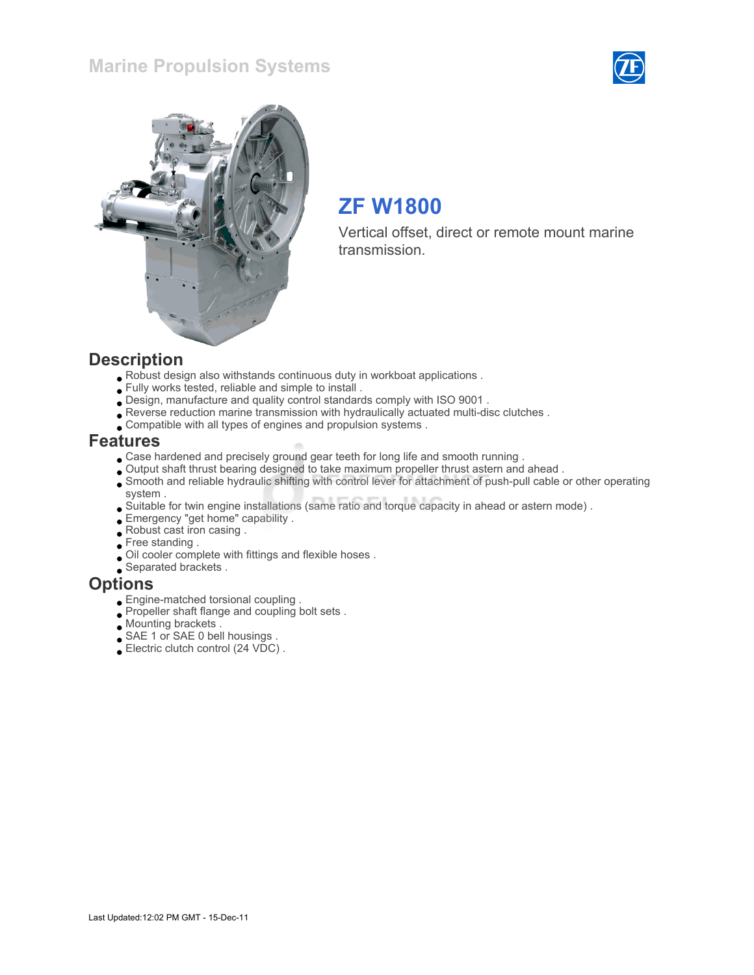## Marine Propulsion Systems





# ZF W1800

Vertical offset, direct or remote mount marine transmission.

#### **Description**

- Robust design also withstands continuous duty in workboat applications .
- Fully works tested, reliable and simple to install .
- Design, manufacture and quality control standards comply with ISO 9001 .
- Reverse reduction marine transmission with hydraulically actuated multi-disc clutches .
- Compatible with all types of engines and propulsion systems .

#### Features

- Case hardened and precisely ground gear teeth for long life and smooth running .
- Output shaft thrust bearing designed to take maximum propeller thrust astern and ahead .
- Smooth and reliable hydraulic shifting with control lever for attachment of push-pull cable or other operating system .
- Suitable for twin engine installations (same ratio and torque capacity in ahead or astern mode) .
- Emergency "get home" capability .
- Robust cast iron casing .
- Free standing.
- Oil cooler complete with fittings and flexible hoses .
- Separated brackets .

#### **Options**

- Engine-matched torsional coupling .
- Propeller shaft flange and coupling bolt sets .
- **Mounting brackets**.
- SAE 1 or SAE 0 bell housings .
- Electric clutch control (24 VDC) .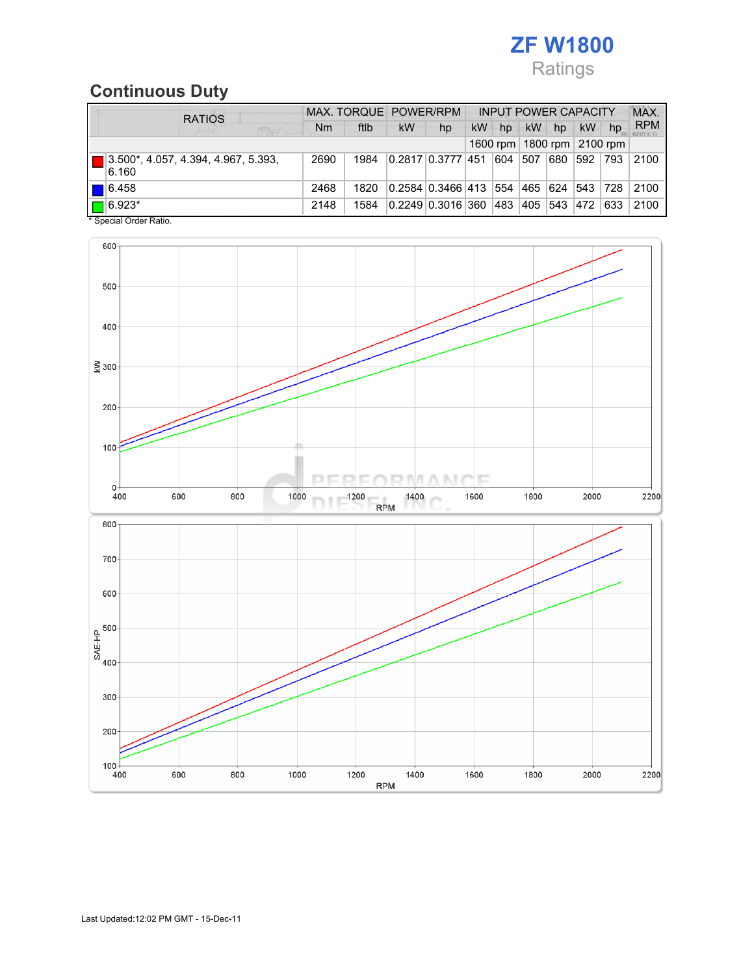# ZF W1800 Ratings

## Continuous Duty

| <b>RATIOS</b>                                          |           | MAX. TORQUE POWER/RPM |           |                       |           |     |           | <b>INPUT POWER CAPACITY</b> |           | MAX.                           |            |
|--------------------------------------------------------|-----------|-----------------------|-----------|-----------------------|-----------|-----|-----------|-----------------------------|-----------|--------------------------------|------------|
| 医麻疹                                                    | <b>Nm</b> | ftlb                  | <b>kW</b> | hp                    | <b>kW</b> | hp  | <b>kW</b> | hp                          | kW        | hp                             | <b>RPM</b> |
|                                                        |           |                       |           |                       |           |     |           |                             |           | 1600 rpm   1800 rpm   2100 rpm |            |
| 13.500*, 4.057, 4.394, 4.967, 5.393,<br>6.160          | 2690      | 1984                  |           | 0.2817 0.3777 451     |           | 604 | 507       | 680                         | 592 793   |                                | 2100       |
| $\blacksquare$ 6.458                                   | 2468      | 1820                  |           | 0.2584   0.3466   413 |           | 554 | 465  624  |                             | 543   728 |                                | 2100       |
| $\boxed{\blacksquare}$ 6.923*<br>* Concial Order Patio | 2148      | 1584                  |           | 0.2249 0.3016 360     |           | 483 | 405       | 543                         | 472       | 633                            | 2100       |

Special Order Ratio.

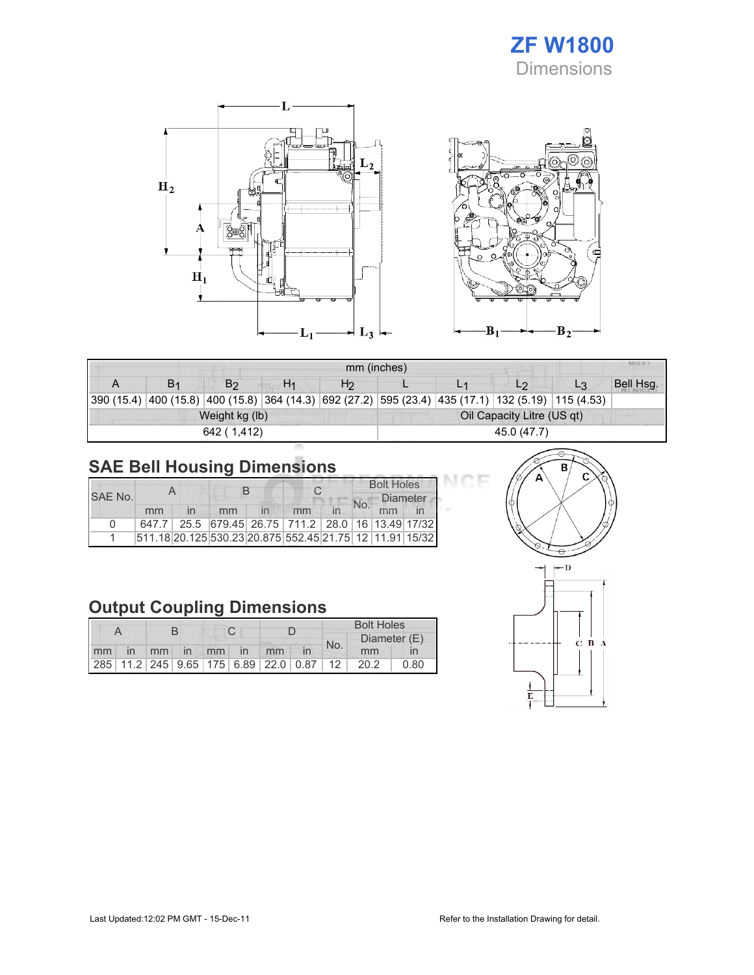## ZF W1800 Dimensions

Œ



| <b>MILLY</b><br>mm (inches) |  |                |                |                |                            |  |                                                                                     |    |           |  |  |
|-----------------------------|--|----------------|----------------|----------------|----------------------------|--|-------------------------------------------------------------------------------------|----|-----------|--|--|
|                             |  | B2             | H <sub>1</sub> | H <sub>2</sub> |                            |  | L <sub>2</sub>                                                                      | L3 | Bell Hsg. |  |  |
| 390 (15.4)                  |  |                |                |                |                            |  | $ 400(15.8) 400(15.8) 364(14.3) 692(27.2) 595(23.4) 435(17.1) 132(5.19) 115(4.53) $ |    |           |  |  |
|                             |  | Weight kg (lb) |                |                | Oil Capacity Litre (US qt) |  |                                                                                     |    |           |  |  |
|                             |  | 642 (1.412)    |                |                | 45.0 (47.7)                |  |                                                                                     |    |           |  |  |

# SAE Bell Housing Dimensions

| SAF No. |    |                                                         |  |    | <b>Bolt Holes</b> |                       |  |
|---------|----|---------------------------------------------------------|--|----|-------------------|-----------------------|--|
|         | mm | mm                                                      |  | mm | No.               | <b>Diameter</b><br>mm |  |
| n       |    | 647.7 25.5 679.45 26.75 711.2 28.0 16 13.49 17/32       |  |    |                   |                       |  |
|         |    | 511.18 20.125 530.23 20.875 552.45 21.75 12 11.91 15/32 |  |    |                   |                       |  |

# Output Coupling Dimensions

|  |  |  |  |  |                   |                                         |  | <b>Bolt Holes</b> |              |      |  |
|--|--|--|--|--|-------------------|-----------------------------------------|--|-------------------|--------------|------|--|
|  |  |  |  |  |                   |                                         |  | No.               | Diameter (E) |      |  |
|  |  |  |  |  | mm in mm in mm in | mm                                      |  |                   | mm           |      |  |
|  |  |  |  |  |                   | 285 11.2 245 9.65 175 6.89 22.0 0.87 12 |  |                   | 20.2         | 0.80 |  |



эF

 $B_2$